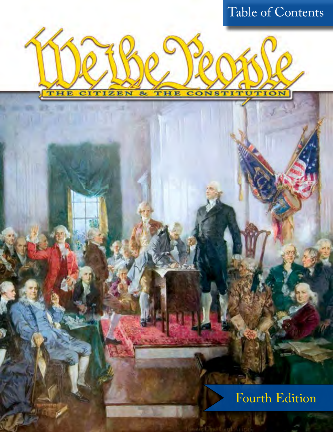# Table of Contents

**CONSTITUTION** 

THE

**CITIZEN** 

施

THE

 $8<sub>c</sub>$ 

### Fourth Edition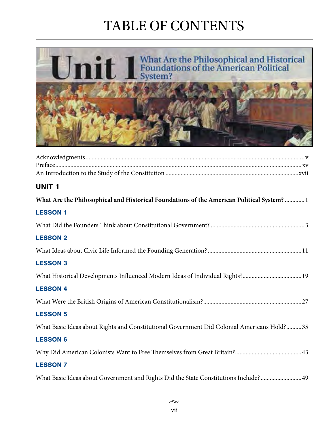

| <b>UNIT1</b>                                                                               |
|--------------------------------------------------------------------------------------------|
| What Are the Philosophical and Historical Foundations of the American Political System?  1 |
| <b>LESSON 1</b>                                                                            |
|                                                                                            |
| <b>LESSON 2</b>                                                                            |
|                                                                                            |
| <b>LESSON 3</b>                                                                            |
| What Historical Developments Influenced Modern Ideas of Individual Rights?19               |
| <b>LESSON 4</b>                                                                            |
|                                                                                            |
| <b>LESSON 5</b>                                                                            |
| What Basic Ideas about Rights and Constitutional Government Did Colonial Americans Hold?35 |
| <b>LESSON 6</b>                                                                            |
|                                                                                            |
| <b>LESSON 7</b>                                                                            |
| What Basic Ideas about Government and Rights Did the State Constitutions Include?  49      |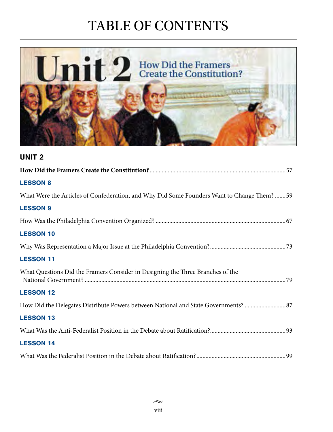

### UNIT 2 **How Did the Framers Create the Constitution?**..........................................................................................57 LESSON 8 What Were the Articles of Confederation, and Why Did Some Founders Want to Change Them? .......59 LESSON 9 How Was the Philadelphia Convention Organized? ......................................................................................67 LESSON 10 Why Was Representation a Major Issue at the Philadelphia Convention?..................................................73 LESSON 11 What Questions Did the Framers Consider in Designing the Three Branches of the National Government? .....................................................................................................................................79 LESSON 12 How Did the Delegates Distribute Powers between National and State Governments? ...........................87 LESSON 13 What Was the Anti-Federalist Position in the Debate about Ratification?..................................................93 LESSON 14 What Was the Federalist Position in the Debate about Ratification?...........................................................99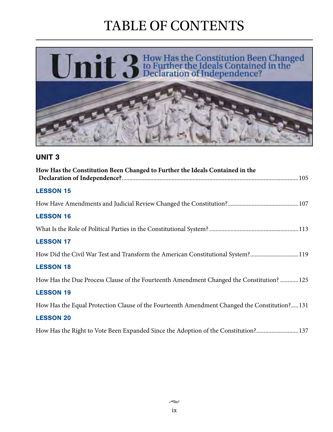

### UNIT 3

| How Has the Constitution Been Changed to Further the Ideals Contained in the                 |
|----------------------------------------------------------------------------------------------|
| <b>LESSON 15</b>                                                                             |
|                                                                                              |
| <b>LESSON 16</b>                                                                             |
|                                                                                              |
| <b>LESSON 17</b>                                                                             |
| How Did the Civil War Test and Transform the American Constitutional System?119              |
| <b>LESSON 18</b>                                                                             |
| How Has the Due Process Clause of the Fourteenth Amendment Changed the Constitution? 125     |
| <b>LESSON 19</b>                                                                             |
| How Has the Equal Protection Clause of the Fourteenth Amendment Changed the Constitution?131 |
| <b>LESSON 20</b>                                                                             |

How Has the Right to Vote Been Expanded Since the Adoption of the Constitution?............................137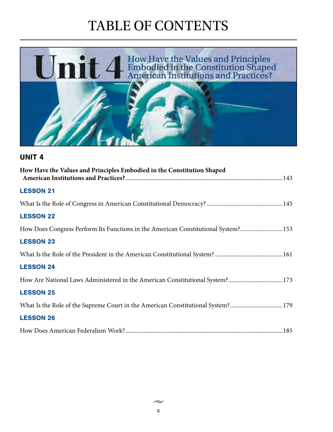

#### UNIT 4

| How Have the Values and Principles Embodied in the Constitution Shaped            |  |
|-----------------------------------------------------------------------------------|--|
| <b>LESSON 21</b>                                                                  |  |
|                                                                                   |  |
| <b>LESSON 22</b>                                                                  |  |
| How Does Congress Perform Its Functions in the American Constitutional System?153 |  |
| <b>LESSON 23</b>                                                                  |  |
|                                                                                   |  |
| <b>LESSON 24</b>                                                                  |  |
| How Are National Laws Administered in the American Constitutional System?173      |  |
| <b>LESSON 25</b>                                                                  |  |
| What Is the Role of the Supreme Court in the American Constitutional System?179   |  |
| <b>LESSON 26</b>                                                                  |  |
|                                                                                   |  |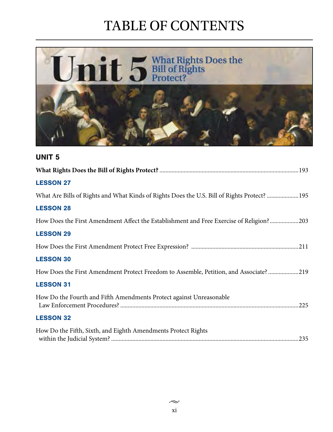

### UNIT 5

| <b>LESSON 27</b>                                                                            |
|---------------------------------------------------------------------------------------------|
| What Are Bills of Rights and What Kinds of Rights Does the U.S. Bill of Rights Protect? 195 |
| <b>LESSON 28</b>                                                                            |
| How Does the First Amendment Affect the Establishment and Free Exercise of Religion?203     |
| <b>LESSON 29</b>                                                                            |
|                                                                                             |
| <b>LESSON 30</b>                                                                            |
| How Does the First Amendment Protect Freedom to Assemble, Petition, and Associate?219       |
| <b>LESSON 31</b>                                                                            |
| How Do the Fourth and Fifth Amendments Protect against Unreasonable                         |
| <b>LESSON 32</b>                                                                            |
| How Do the Fifth, Sixth, and Eighth Amendments Protect Rights                               |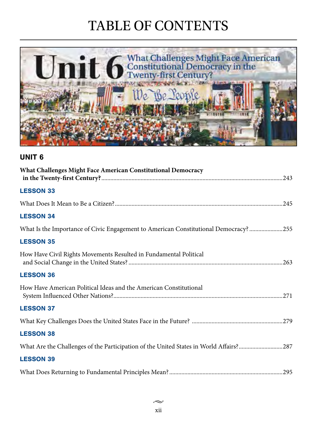

### UNIT 6

| What Challenges Might Face American Constitutional Democracy                           |  |
|----------------------------------------------------------------------------------------|--|
| <b>LESSON 33</b>                                                                       |  |
|                                                                                        |  |
| <b>LESSON 34</b>                                                                       |  |
| What Is the Importance of Civic Engagement to American Constitutional Democracy? 255   |  |
| <b>LESSON 35</b>                                                                       |  |
| How Have Civil Rights Movements Resulted in Fundamental Political                      |  |
| <b>LESSON 36</b>                                                                       |  |
| How Have American Political Ideas and the American Constitutional                      |  |
| <b>LESSON 37</b>                                                                       |  |
|                                                                                        |  |
| <b>LESSON 38</b>                                                                       |  |
| What Are the Challenges of the Participation of the United States in World Affairs?287 |  |
| <b>LESSON 39</b>                                                                       |  |
|                                                                                        |  |